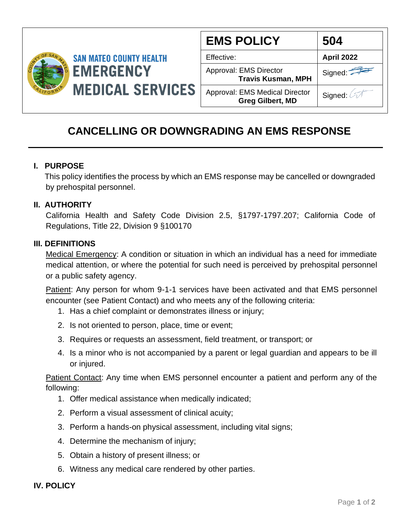

| <b>EMS POLICY</b>                                                | 504               |
|------------------------------------------------------------------|-------------------|
| Effective:                                                       | <b>April 2022</b> |
| Approval: EMS Director<br><b>Travis Kusman, MPH</b>              | Signed:           |
| <b>Approval: EMS Medical Director</b><br><b>Greg Gilbert, MD</b> | Signed: A         |

# **CANCELLING OR DOWNGRADING AN EMS RESPONSE**

## **I. PURPOSE**

 This policy identifies the process by which an EMS response may be cancelled or downgraded by prehospital personnel.

### **II. AUTHORITY**

California Health and Safety Code Division 2.5, §1797-1797.207; California Code of Regulations, Title 22, Division 9 §100170

### **III. DEFINITIONS**

Medical Emergency: A condition or situation in which an individual has a need for immediate medical attention, or where the potential for such need is perceived by prehospital personnel or a public safety agency.

Patient: Any person for whom 9-1-1 services have been activated and that EMS personnel encounter (see Patient Contact) and who meets any of the following criteria:

- 1. Has a chief complaint or demonstrates illness or injury;
- 2. Is not oriented to person, place, time or event;
- 3. Requires or requests an assessment, field treatment, or transport; or
- 4. Is a minor who is not accompanied by a parent or legal guardian and appears to be ill or injured.

Patient Contact: Any time when EMS personnel encounter a patient and perform any of the following:

- 1. Offer medical assistance when medically indicated;
- 2. Perform a visual assessment of clinical acuity;
- 3. Perform a hands-on physical assessment, including vital signs;
- 4. Determine the mechanism of injury;
- 5. Obtain a history of present illness; or
- 6. Witness any medical care rendered by other parties.

### **IV. POLICY**